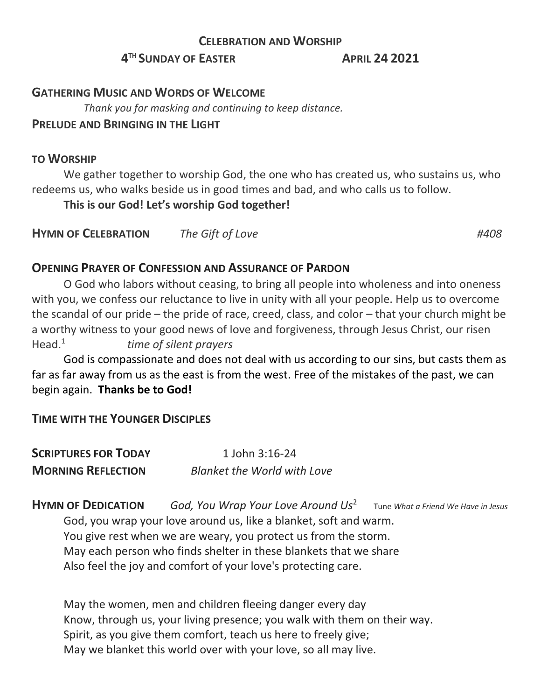#### **CELEBRATION AND WORSHIP**

## **4 TH SUNDAY OF EASTER APRIL 24 2021**

#### **GATHERING MUSIC AND WORDS OF WELCOME**

 *Thank you for masking and continuing to keep distance.*

#### **PRELUDE AND BRINGING IN THE LIGHT**

#### **TO WORSHIP**

We gather together to worship God, the one who has created us, who sustains us, who redeems us, who walks beside us in good times and bad, and who calls us to follow.

**This is our God! Let's worship God together!**

**HYMN OF CELEBRATION** *The Gift of Love #408*

### **OPENING PRAYER OF CONFESSION AND ASSURANCE OF PARDON**

O God who labors without ceasing, to bring all people into wholeness and into oneness with you, we confess our reluctance to live in unity with all your people. Help us to overcome the scandal of our pride – the pride of race, creed, class, and color – that your church might be a worthy witness to your good news of love and forgiveness, through Jesus Christ, our risen Head. $<sup>1</sup>$ </sup> *time of silent prayers*

God is compassionate and does not deal with us according to our sins, but casts them as far as far away from us as the east is from the west. Free of the mistakes of the past, we can begin again. **Thanks be to God!**

## **TIME WITH THE YOUNGER DISCIPLES**

| <b>SCRIPTURES FOR TODAY</b> | 1 John 3:16-24                     |  |
|-----------------------------|------------------------------------|--|
| <b>MORNING REFLECTION</b>   | <b>Blanket the World with Love</b> |  |

**HYMN OF DEDICATION** *God, You Wrap Your Love Around Us*<sup>2</sup> Tune *What a Friend We Have in Jesus*

God, you wrap your love around us, like a blanket, soft and warm. You give rest when we are weary, you protect us from the storm. May each person who finds shelter in these blankets that we share Also feel the joy and comfort of your love's protecting care.

May the women, men and children fleeing danger every day Know, through us, your living presence; you walk with them on their way. Spirit, as you give them comfort, teach us here to freely give; May we blanket this world over with your love, so all may live.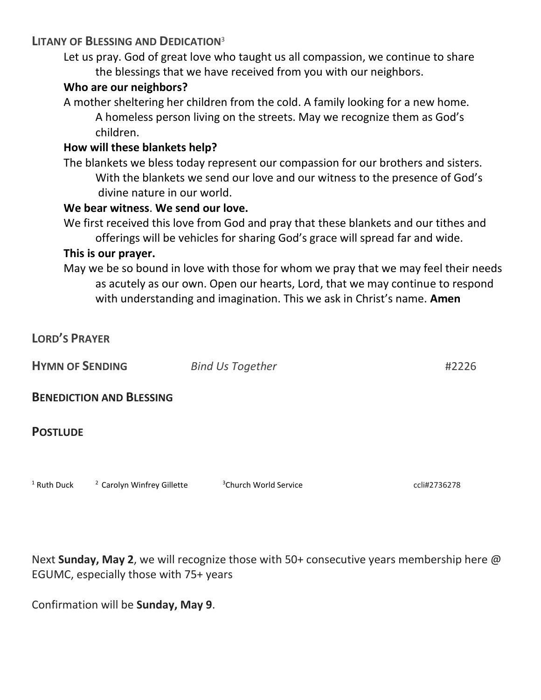### **LITANY OF BLESSING AND DEDICATION**<sup>3</sup>

Let us pray. God of great love who taught us all compassion, we continue to share the blessings that we have received from you with our neighbors.

### **Who are our neighbors?**

A mother sheltering her children from the cold. A family looking for a new home. A homeless person living on the streets. May we recognize them as God's children.

## **How will these blankets help?**

The blankets we bless today represent our compassion for our brothers and sisters. With the blankets we send our love and our witness to the presence of God's divine nature in our world.

### **We bear witness**. **We send our love.**

We first received this love from God and pray that these blankets and our tithes and offerings will be vehicles for sharing God's grace will spread far and wide.

### **This is our prayer.**

May we be so bound in love with those for whom we pray that we may feel their needs as acutely as our own. Open our hearts, Lord, that we may continue to respond with understanding and imagination. This we ask in Christ's name. **Amen**

| <b>LORD'S PRAYER</b>   |                                       |                                   |              |
|------------------------|---------------------------------------|-----------------------------------|--------------|
| <b>HYMN OF SENDING</b> |                                       | <b>Bind Us Together</b>           | #2226        |
|                        | <b>BENEDICTION AND BLESSING</b>       |                                   |              |
| <b>POSTLUDE</b>        |                                       |                                   |              |
| <sup>1</sup> Ruth Duck | <sup>2</sup> Carolyn Winfrey Gillette | <sup>3</sup> Church World Service | ccli#2736278 |

Next **Sunday, May 2**, we will recognize those with 50+ consecutive years membership here @ EGUMC, especially those with 75+ years

Confirmation will be **Sunday, May 9**.